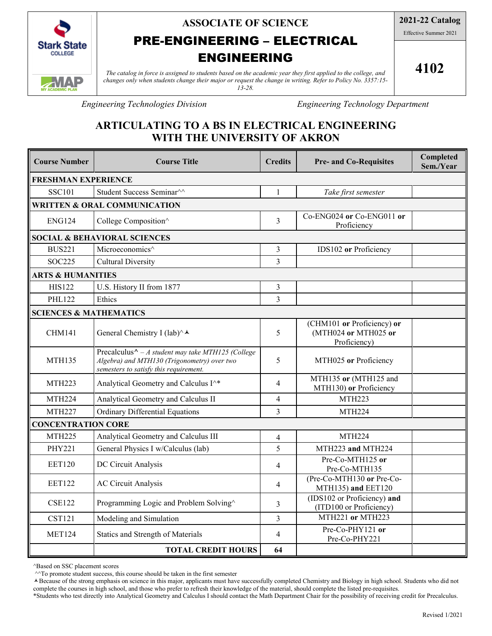

**ASSOCIATE OF SCIENCE**

# PRE-ENGINEERING – ELECTRICAL

# ENGINEERING

*The catalog in force is assigned to students based on the academic year they first applied to the college, and changes only when students change their major or request the change in writing. Refer to Policy No. 3357:15- 13-28.*

**4102**

*Engineering Technologies Division Engineering Technology Department*

# **ARTICULATING TO A BS IN ELECTRICAL ENGINEERING WITH THE UNIVERSITY OF AKRON**

| <b>Course Number</b>                    | <b>Course Title</b>                                                                                                                                | <b>Credits</b> | <b>Pre- and Co-Requisites</b>                                      | Completed<br>Sem./Year |  |  |  |
|-----------------------------------------|----------------------------------------------------------------------------------------------------------------------------------------------------|----------------|--------------------------------------------------------------------|------------------------|--|--|--|
| <b>FRESHMAN EXPERIENCE</b>              |                                                                                                                                                    |                |                                                                    |                        |  |  |  |
| <b>SSC101</b>                           | Student Success Seminar <sup>^^</sup>                                                                                                              | $\mathbf{1}$   | Take first semester                                                |                        |  |  |  |
| <b>WRITTEN &amp; ORAL COMMUNICATION</b> |                                                                                                                                                    |                |                                                                    |                        |  |  |  |
| ENG124                                  | College Composition^                                                                                                                               | 3              | Co-ENG024 or Co-ENG011 or<br>Proficiency                           |                        |  |  |  |
| <b>SOCIAL &amp; BEHAVIORAL SCIENCES</b> |                                                                                                                                                    |                |                                                                    |                        |  |  |  |
| <b>BUS221</b>                           | Microeconomics^                                                                                                                                    | 3              | IDS102 or Proficiency                                              |                        |  |  |  |
| <b>SOC225</b>                           | <b>Cultural Diversity</b>                                                                                                                          | $\overline{3}$ |                                                                    |                        |  |  |  |
| <b>ARTS &amp; HUMANITIES</b>            |                                                                                                                                                    |                |                                                                    |                        |  |  |  |
| <b>HIS122</b>                           | U.S. History II from 1877                                                                                                                          | 3              |                                                                    |                        |  |  |  |
| <b>PHL122</b>                           | Ethics                                                                                                                                             | 3              |                                                                    |                        |  |  |  |
| <b>SCIENCES &amp; MATHEMATICS</b>       |                                                                                                                                                    |                |                                                                    |                        |  |  |  |
| <b>CHM141</b>                           | General Chemistry I (lab)^▲                                                                                                                        | 5              | (CHM101 or Proficiency) or<br>(MTH024 or MTH025 or<br>Proficiency) |                        |  |  |  |
| <b>MTH135</b>                           | Precalculus $\wedge$ - A student may take MTH125 (College<br>Algebra) and MTH130 (Trigonometry) over two<br>semesters to satisfy this requirement. | 5              | MTH025 or Proficiency                                              |                        |  |  |  |
| <b>MTH223</b>                           | Analytical Geometry and Calculus I^*                                                                                                               | $\overline{4}$ | MTH135 or (MTH125 and<br>MTH130) or Proficiency                    |                        |  |  |  |
| <b>MTH224</b>                           | Analytical Geometry and Calculus II                                                                                                                | 4              | <b>MTH223</b>                                                      |                        |  |  |  |
| <b>MTH227</b>                           | <b>Ordinary Differential Equations</b>                                                                                                             | 3              | <b>MTH224</b>                                                      |                        |  |  |  |
| <b>CONCENTRATION CORE</b>               |                                                                                                                                                    |                |                                                                    |                        |  |  |  |
| <b>MTH225</b>                           | Analytical Geometry and Calculus III                                                                                                               | $\overline{4}$ | <b>MTH224</b>                                                      |                        |  |  |  |
| <b>PHY221</b>                           | General Physics I w/Calculus (lab)                                                                                                                 | 5              | MTH223 and MTH224                                                  |                        |  |  |  |
| <b>EET120</b>                           | DC Circuit Analysis                                                                                                                                | 4              | Pre-Co-MTH125 or<br>Pre-Co-MTH135                                  |                        |  |  |  |
| <b>EET122</b>                           | <b>AC Circuit Analysis</b>                                                                                                                         | 4              | (Pre-Co-MTH130 or Pre-Co-<br>MTH135) and EET120                    |                        |  |  |  |
| <b>CSE122</b>                           | Programming Logic and Problem Solving^                                                                                                             | 3              | (IDS102 or Proficiency) and<br>(ITD100 or Proficiency)             |                        |  |  |  |
| <b>CST121</b>                           | Modeling and Simulation                                                                                                                            | 3              | MTH221 or MTH223                                                   |                        |  |  |  |
| <b>MET124</b>                           | Statics and Strength of Materials                                                                                                                  | 4              | Pre-Co-PHY121 or<br>Pre-Co-PHY221                                  |                        |  |  |  |
|                                         | <b>TOTAL CREDIT HOURS</b>                                                                                                                          | 64             |                                                                    |                        |  |  |  |

^Based on SSC placement scores

^^To promote student success, this course should be taken in the first semester

Because of the strong emphasis on science in this major, applicants must have successfully completed Chemistry and Biology in high school. Students who did not complete the courses in high school, and those who prefer to refresh their knowledge of the material, should complete the listed pre-requisites.

\*Students who test directly into Analytical Geometry and Calculus I should contact the Math Department Chair for the possibility of receiving credit for Precalculus.